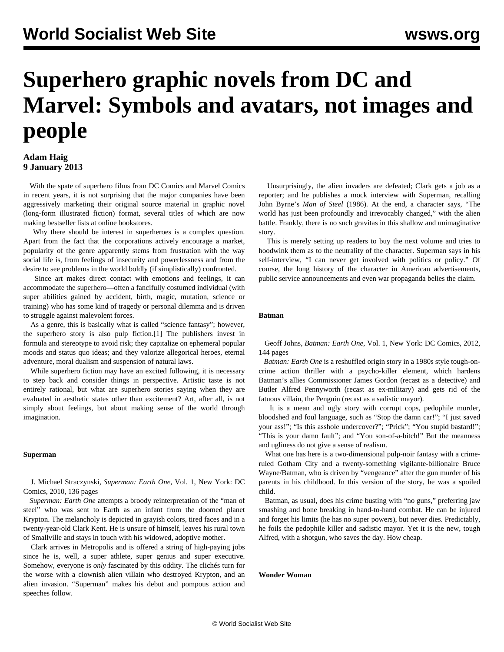# **Superhero graphic novels from DC and Marvel: Symbols and avatars, not images and people**

## **Adam Haig 9 January 2013**

 With the spate of superhero films from DC Comics and Marvel Comics in recent years, it is not surprising that the major companies have been aggressively marketing their original source material in graphic novel (long-form illustrated fiction) format, several titles of which are now making bestseller lists at online bookstores.

 Why there should be interest in superheroes is a complex question. Apart from the fact that the corporations actively encourage a market, popularity of the genre apparently stems from frustration with the way social life is, from feelings of insecurity and powerlessness and from the desire to see problems in the world boldly (if simplistically) confronted.

 Since art makes direct contact with emotions and feelings, it can accommodate the superhero—often a fancifully costumed individual (with super abilities gained by accident, birth, magic, mutation, science or training) who has some kind of tragedy or personal dilemma and is driven to struggle against malevolent forces.

 As a genre, this is basically what is called "science fantasy"; however, the superhero story is also pulp fiction.[1] The publishers invest in formula and stereotype to avoid risk; they capitalize on ephemeral popular moods and status quo ideas; and they valorize allegorical heroes, eternal adventure, moral dualism and suspension of natural laws.

 While superhero fiction may have an excited following, it is necessary to step back and consider things in perspective. Artistic taste is not entirely rational, but what are superhero stories saying when they are evaluated in aesthetic states other than excitement? Art, after all, is not simply about feelings, but about making sense of the world through imagination.

#### **Superman**

 J. Michael Straczynski, *Superman: Earth One*, Vol. 1, New York: DC Comics, 2010, 136 pages

 *Superman: Earth One* attempts a broody reinterpretation of the "man of steel" who was sent to Earth as an infant from the doomed planet Krypton. The melancholy is depicted in grayish colors, tired faces and in a twenty-year-old Clark Kent. He is unsure of himself, leaves his rural town of Smallville and stays in touch with his widowed, adoptive mother.

 Clark arrives in Metropolis and is offered a string of high-paying jobs since he is, well, a super athlete, super genius and super executive. Somehow, everyone is *only* fascinated by this oddity. The clichés turn for the worse with a clownish alien villain who destroyed Krypton, and an alien invasion. "Superman" makes his debut and pompous action and speeches follow.

 Unsurprisingly, the alien invaders are defeated; Clark gets a job as a reporter; and he publishes a mock interview with Superman, recalling John Byrne's *Man of Steel* (1986). At the end, a character says, "The world has just been profoundly and irrevocably changed," with the alien battle. Frankly, there is no such gravitas in this shallow and unimaginative story.

 This is merely setting up readers to buy the next volume and tries to hoodwink them as to the neutrality of the character. Superman says in his self-interview, "I can never get involved with politics or policy." Of course, the long history of the character in American advertisements, public service announcements and even war propaganda belies the claim.

### **Batman**

 Geoff Johns, *Batman: Earth One*, Vol. 1, New York: DC Comics, 2012, 144 pages

 *Batman: Earth One* is a reshuffled origin story in a 1980s style tough-oncrime action thriller with a psycho-killer element, which hardens Batman's allies Commissioner James Gordon (recast as a detective) and Butler Alfred Pennyworth (recast as ex-military) and gets rid of the fatuous villain, the Penguin (recast as a sadistic mayor).

 It is a mean and ugly story with corrupt cops, pedophile murder, bloodshed and foul language, such as "Stop the damn car!"; "I just saved your ass!"; "Is this asshole undercover?"; "Prick"; "You stupid bastard!"; "This is your damn fault"; and "You son-of-a-bitch!" But the meanness and ugliness do not give a sense of realism.

 What one has here is a two-dimensional pulp-noir fantasy with a crimeruled Gotham City and a twenty-something vigilante-billionaire Bruce Wayne/Batman, who is driven by "vengeance" after the gun murder of his parents in his childhood. In this version of the story, he was a spoiled child.

 Batman, as usual, does his crime busting with "no guns," preferring jaw smashing and bone breaking in hand-to-hand combat. He can be injured and forget his limits (he has no super powers), but never dies. Predictably, he foils the pedophile killer and sadistic mayor. Yet it is the new, tough Alfred, with a shotgun, who saves the day. How cheap.

**Wonder Woman**